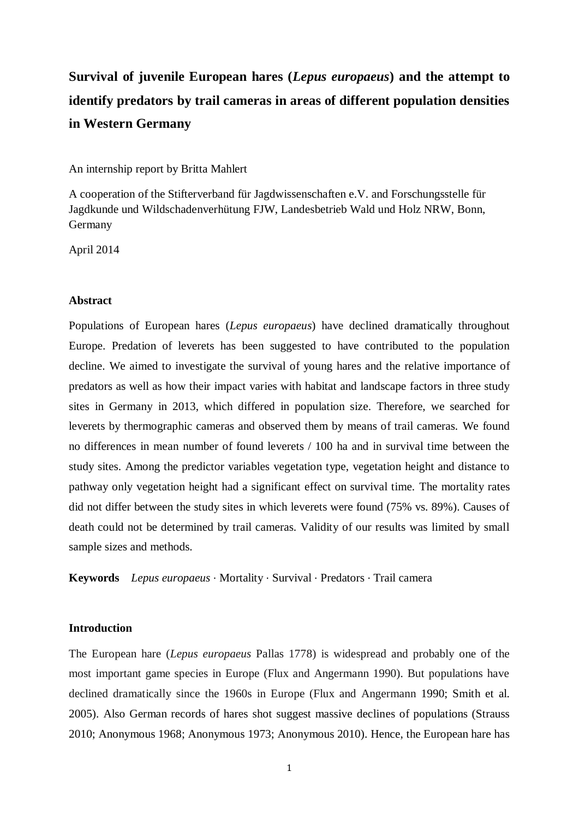# **Survival of juvenile European hares (***Lepus europaeus***) and the attempt to identify predators by trail cameras in areas of different population densities in Western Germany**

An internship report by Britta Mahlert

A cooperation of the Stifterverband für Jagdwissenschaften e.V. and Forschungsstelle für Jagdkunde und Wildschadenverhütung FJW, Landesbetrieb Wald und Holz NRW, Bonn, Germany

April 2014

#### **Abstract**

Populations of European hares (*Lepus europaeus*) have declined dramatically throughout Europe. Predation of leverets has been suggested to have contributed to the population decline. We aimed to investigate the survival of young hares and the relative importance of predators as well as how their impact varies with habitat and landscape factors in three study sites in Germany in 2013, which differed in population size. Therefore, we searched for leverets by thermographic cameras and observed them by means of trail cameras. We found no differences in mean number of found leverets / 100 ha and in survival time between the study sites. Among the predictor variables vegetation type, vegetation height and distance to pathway only vegetation height had a significant effect on survival time. The mortality rates did not differ between the study sites in which leverets were found (75% vs. 89%). Causes of death could not be determined by trail cameras. Validity of our results was limited by small sample sizes and methods.

**Keywords** *Lepus europaeus* ∙ Mortality ∙ Survival ∙ Predators ∙ Trail camera

#### **Introduction**

The European hare (*Lepus europaeus* Pallas 1778) is widespread and probably one of the most important game species in Europe (Flux and Angermann 1990). But populations have declined dramatically since the 1960s in Europe (Flux and Angermann 1990; Smith et al. 2005). Also German records of hares shot suggest massive declines of populations (Strauss 2010; Anonymous 1968; Anonymous 1973; Anonymous 2010). Hence, the European hare has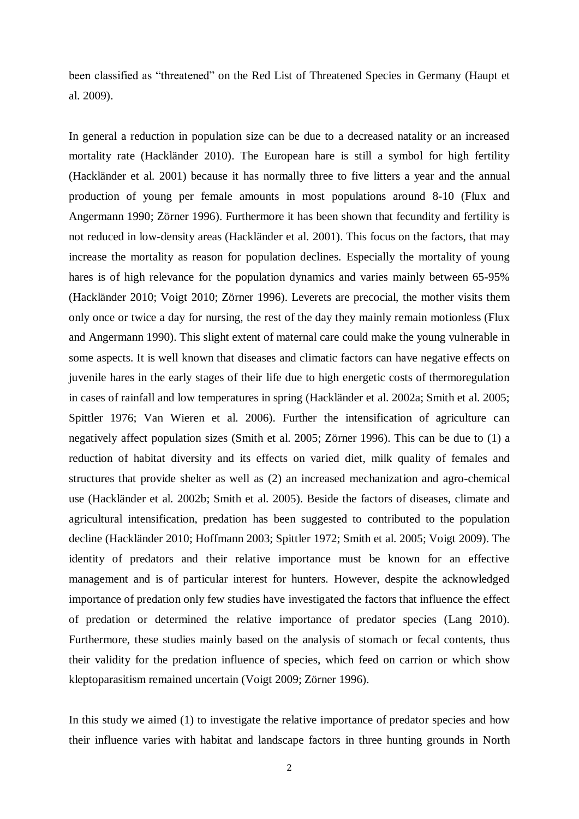been classified as "threatened" on the Red List of Threatened Species in Germany (Haupt et al. 2009).

In general a reduction in population size can be due to a decreased natality or an increased mortality rate (Hackländer 2010). The European hare is still a symbol for high fertility (Hackländer et al. 2001) because it has normally three to five litters a year and the annual production of young per female amounts in most populations around 8-10 (Flux and Angermann 1990; Zörner 1996). Furthermore it has been shown that fecundity and fertility is not reduced in low-density areas (Hackländer et al. 2001). This focus on the factors, that may increase the mortality as reason for population declines. Especially the mortality of young hares is of high relevance for the population dynamics and varies mainly between 65-95% (Hackländer 2010; Voigt 2010; Zörner 1996). Leverets are precocial, the mother visits them only once or twice a day for nursing, the rest of the day they mainly remain motionless (Flux and Angermann 1990). This slight extent of maternal care could make the young vulnerable in some aspects. It is well known that diseases and climatic factors can have negative effects on juvenile hares in the early stages of their life due to high energetic costs of thermoregulation in cases of rainfall and low temperatures in spring (Hackländer et al. 2002a; Smith et al. 2005; Spittler 1976; Van Wieren et al. 2006). Further the intensification of agriculture can negatively affect population sizes (Smith et al. 2005; Zörner 1996). This can be due to (1) a reduction of habitat diversity and its effects on varied diet, milk quality of females and structures that provide shelter as well as (2) an increased mechanization and agro-chemical use (Hackländer et al. 2002b; Smith et al. 2005). Beside the factors of diseases, climate and agricultural intensification, predation has been suggested to contributed to the population decline (Hackländer 2010; Hoffmann 2003; Spittler 1972; Smith et al. 2005; Voigt 2009). The identity of predators and their relative importance must be known for an effective management and is of particular interest for hunters. However, despite the acknowledged importance of predation only few studies have investigated the factors that influence the effect of predation or determined the relative importance of predator species (Lang 2010). Furthermore, these studies mainly based on the analysis of stomach or fecal contents, thus their validity for the predation influence of species, which feed on carrion or which show kleptoparasitism remained uncertain (Voigt 2009; Zörner 1996).

In this study we aimed (1) to investigate the relative importance of predator species and how their influence varies with habitat and landscape factors in three hunting grounds in North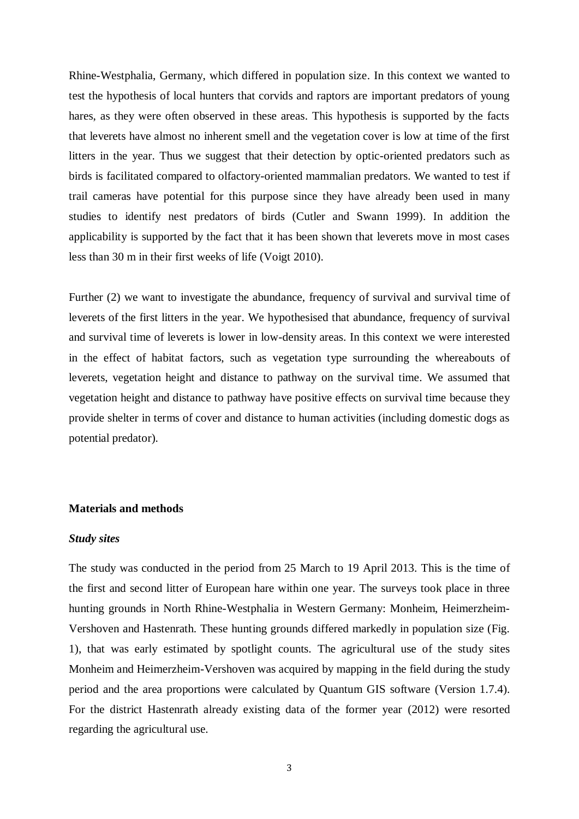Rhine-Westphalia, Germany, which differed in population size. In this context we wanted to test the hypothesis of local hunters that corvids and raptors are important predators of young hares, as they were often observed in these areas. This hypothesis is supported by the facts that leverets have almost no inherent smell and the vegetation cover is low at time of the first litters in the year. Thus we suggest that their detection by optic-oriented predators such as birds is facilitated compared to olfactory-oriented mammalian predators. We wanted to test if trail cameras have potential for this purpose since they have already been used in many studies to identify nest predators of birds (Cutler and Swann 1999). In addition the applicability is supported by the fact that it has been shown that leverets move in most cases less than 30 m in their first weeks of life (Voigt 2010).

Further (2) we want to investigate the abundance, frequency of survival and survival time of leverets of the first litters in the year. We hypothesised that abundance, frequency of survival and survival time of leverets is lower in low-density areas. In this context we were interested in the effect of habitat factors, such as vegetation type surrounding the whereabouts of leverets, vegetation height and distance to pathway on the survival time. We assumed that vegetation height and distance to pathway have positive effects on survival time because they provide shelter in terms of cover and distance to human activities (including domestic dogs as potential predator).

# **Materials and methods**

#### *Study sites*

The study was conducted in the period from 25 March to 19 April 2013. This is the time of the first and second litter of European hare within one year. The surveys took place in three hunting grounds in North Rhine-Westphalia in Western Germany: Monheim, Heimerzheim-Vershoven and Hastenrath. These hunting grounds differed markedly in population size (Fig. 1), that was early estimated by spotlight counts. The agricultural use of the study sites Monheim and Heimerzheim-Vershoven was acquired by mapping in the field during the study period and the area proportions were calculated by Quantum GIS software (Version 1.7.4). For the district Hastenrath already existing data of the former year (2012) were resorted regarding the agricultural use.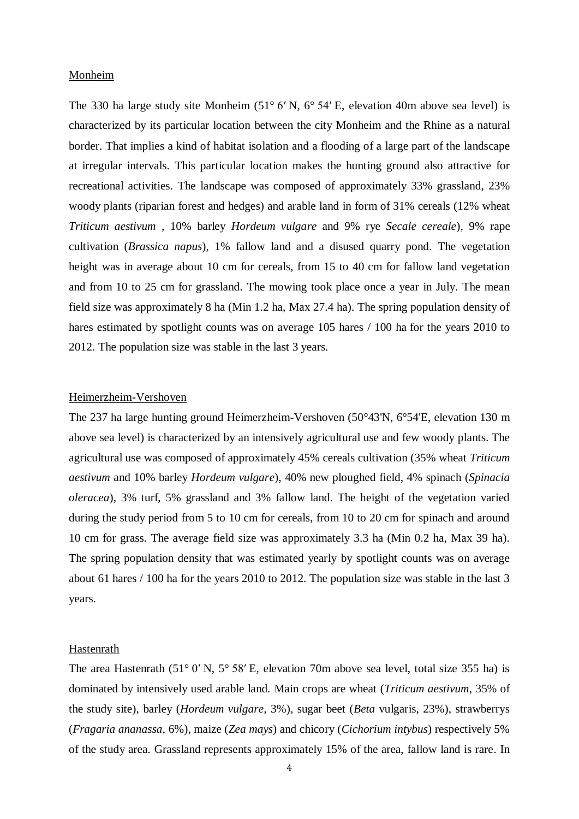#### Monheim

The 330 ha large study site Monheim [\(51°](http://tools.wmflabs.org/geohack/geohack.php?pagename=Monheim_am_Rhein&language=de¶ms=51.091666666667_N_6.8927777777778_E_region:DE-NW_type:city(40205)) 6′ N, 6° 54′ E, elevation 40m above sea level) is characterized by its particular location between the city Monheim and the Rhine as a natural border. That implies a kind of habitat isolation and a flooding of a large part of the landscape at irregular intervals. This particular location makes the hunting ground also attractive for recreational activities. The landscape was composed of approximately 33% grassland, 23% woody plants (riparian forest and hedges) and arable land in form of 31% cereals (12% wheat *Triticum aestivum* , 10% barley *Hordeum vulgare* and 9% rye *Secale cereale*), 9% rape cultivation (*Brassica napus*), 1% fallow land and a disused quarry pond. The vegetation height was in average about 10 cm for cereals, from 15 to 40 cm for fallow land vegetation and from 10 to 25 cm for grassland. The mowing took place once a year in July. The mean field size was approximately 8 ha (Min 1.2 ha, Max 27.4 ha). The spring population density of hares estimated by spotlight counts was on average 105 hares  $/ 100$  ha for the years 2010 to 2012. The population size was stable in the last 3 years.

#### Heimerzheim-Vershoven

The 237 ha large hunting ground Heimerzheim-Vershoven (50°43'N, 6°54'E, elevation 130 m above sea level) is characterized by an intensively agricultural use and few woody plants. The agricultural use was composed of approximately 45% cereals cultivation (35% wheat *Triticum aestivum* and 10% barley *Hordeum vulgare*), 40% new ploughed field, 4% spinach (*Spinacia oleracea*), 3% turf, 5% grassland and 3% fallow land. The height of the vegetation varied during the study period from 5 to 10 cm for cereals, from 10 to 20 cm for spinach and around 10 cm for grass. The average field size was approximately 3.3 ha (Min 0.2 ha, Max 39 ha). The spring population density that was estimated yearly by spotlight counts was on average about 61 hares / 100 ha for the years 2010 to 2012. The population size was stable in the last 3 years.

#### Hastenrath

The area Hastenrath (51° 0′ [N, 5°](http://tools.wmflabs.org/geohack/geohack.php?pagename=Hastenrath_(Gangelt)&language=de¶ms=51.005277777778_N_5.9702777777778_E_dim:10000_region:DE-NW_type:city(516)) 58′ E, elevation 70m above sea level, total size 355 ha) is dominated by intensively used arable land. Main crops are wheat (*Triticum aestivum*, 35% of the study site), barley (*Hordeum vulgare,* 3%), sugar beet (*Beta* vulgaris, 23%), strawberrys (*Fragaria ananassa*, 6%), maize (*Zea mays*) and chicory (*Cichorium intybus*) respectively 5% of the study area. Grassland represents approximately 15% of the area, fallow land is rare. In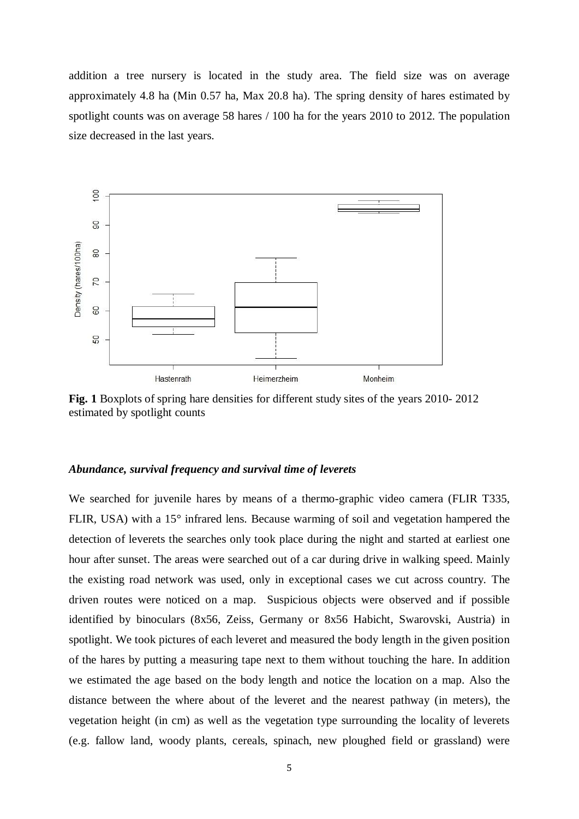addition a tree nursery is located in the study area. The field size was on average approximately 4.8 ha (Min 0.57 ha, Max 20.8 ha). The spring density of hares estimated by spotlight counts was on average 58 hares / 100 ha for the years 2010 to 2012. The population size decreased in the last years.



**Fig. 1** Boxplots of spring hare densities for different study sites of the years 2010- 2012 estimated by spotlight counts

#### *Abundance, survival frequency and survival time of leverets*

We searched for juvenile hares by means of a thermo-graphic video camera (FLIR T335, FLIR, USA) with a 15° infrared lens. Because warming of soil and vegetation hampered the detection of leverets the searches only took place during the night and started at earliest one hour after sunset. The areas were searched out of a car during drive in walking speed. Mainly the existing road network was used, only in exceptional cases we cut across country. The driven routes were noticed on a map. Suspicious objects were observed and if possible identified by binoculars (8x56, Zeiss, Germany or 8x56 Habicht, Swarovski, Austria) in spotlight. We took pictures of each leveret and measured the body length in the given position of the hares by putting a measuring tape next to them without touching the hare. In addition we estimated the age based on the body length and notice the location on a map. Also the distance between the where about of the leveret and the nearest pathway (in meters), the vegetation height (in cm) as well as the vegetation type surrounding the locality of leverets (e.g. fallow land, woody plants, cereals, spinach, new ploughed field or grassland) were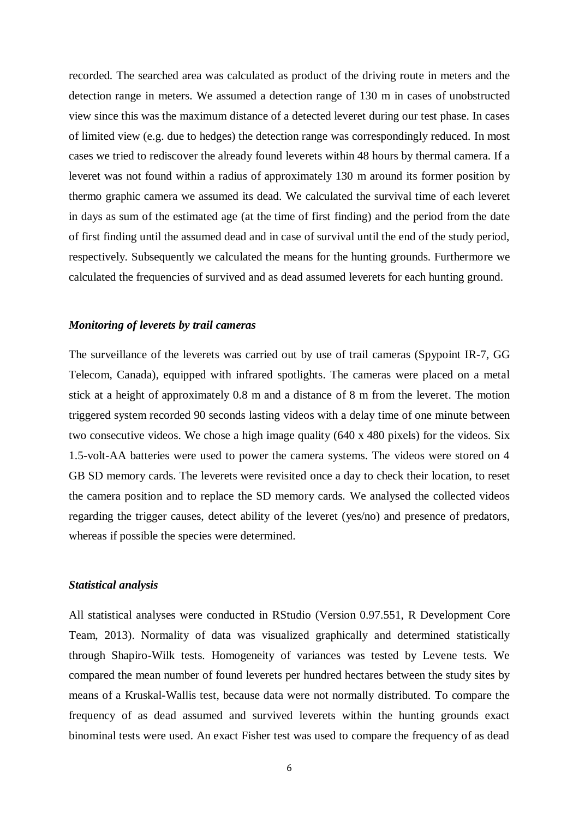recorded. The searched area was calculated as product of the driving route in meters and the detection range in meters. We assumed a detection range of 130 m in cases of unobstructed view since this was the maximum distance of a detected leveret during our test phase. In cases of limited view (e.g. due to hedges) the detection range was correspondingly reduced. In most cases we tried to rediscover the already found leverets within 48 hours by thermal camera. If a leveret was not found within a radius of approximately 130 m around its former position by thermo graphic camera we assumed its dead. We calculated the survival time of each leveret in days as sum of the estimated age (at the time of first finding) and the period from the date of first finding until the assumed dead and in case of survival until the end of the study period, respectively. Subsequently we calculated the means for the hunting grounds. Furthermore we calculated the frequencies of survived and as dead assumed leverets for each hunting ground.

#### *Monitoring of leverets by trail cameras*

The surveillance of the leverets was carried out by use of trail cameras (Spypoint IR-7, GG Telecom, Canada), equipped with infrared spotlights. The cameras were placed on a metal stick at a height of approximately 0.8 m and a distance of 8 m from the leveret. The motion triggered system recorded 90 seconds lasting videos with a delay time of one minute between two consecutive videos. We chose a high image quality (640 x 480 pixels) for the videos. Six 1.5-volt-AA batteries were used to power the camera systems. The videos were stored on 4 GB SD memory cards. The leverets were revisited once a day to check their location, to reset the camera position and to replace the SD memory cards. We analysed the collected videos regarding the trigger causes, detect ability of the leveret (yes/no) and presence of predators, whereas if possible the species were determined.

# *Statistical analysis*

All statistical analyses were conducted in RStudio (Version 0.97.551, R Development Core Team, 2013). Normality of data was visualized graphically and determined statistically through Shapiro-Wilk tests. Homogeneity of variances was tested by Levene tests. We compared the mean number of found leverets per hundred hectares between the study sites by means of a Kruskal-Wallis test, because data were not normally distributed. To compare the frequency of as dead assumed and survived leverets within the hunting grounds exact binominal tests were used. An exact Fisher test was used to compare the frequency of as dead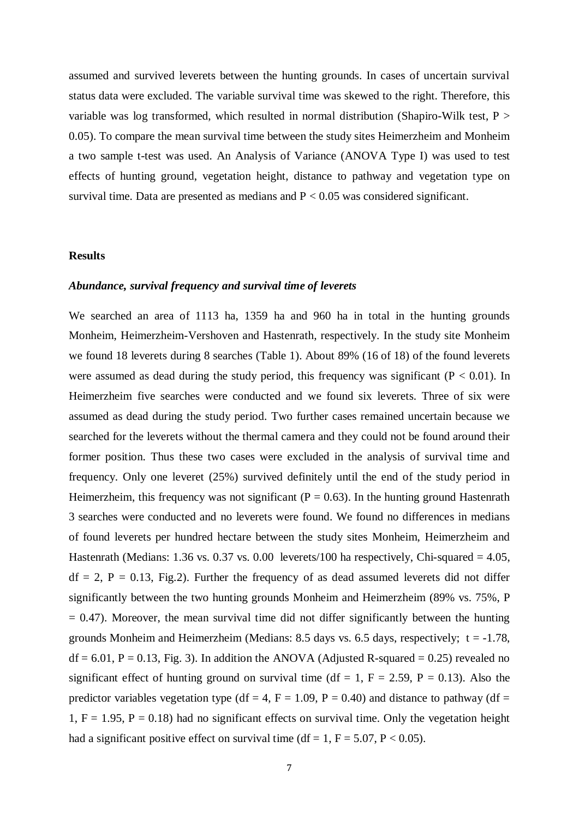assumed and survived leverets between the hunting grounds. In cases of uncertain survival status data were excluded. The variable survival time was skewed to the right. Therefore, this variable was log transformed, which resulted in normal distribution (Shapiro-Wilk test, P > 0.05). To compare the mean survival time between the study sites Heimerzheim and Monheim a two sample t-test was used. An Analysis of Variance (ANOVA Type I) was used to test effects of hunting ground, vegetation height, distance to pathway and vegetation type on survival time. Data are presented as medians and  $P < 0.05$  was considered significant.

#### **Results**

#### *Abundance, survival frequency and survival time of leverets*

We searched an area of 1113 ha, 1359 ha and 960 ha in total in the hunting grounds Monheim, Heimerzheim-Vershoven and Hastenrath, respectively. In the study site Monheim we found 18 leverets during 8 searches (Table 1). About 89% (16 of 18) of the found leverets were assumed as dead during the study period, this frequency was significant ( $P < 0.01$ ). In Heimerzheim five searches were conducted and we found six leverets. Three of six were assumed as dead during the study period. Two further cases remained uncertain because we searched for the leverets without the thermal camera and they could not be found around their former position. Thus these two cases were excluded in the analysis of survival time and frequency. Only one leveret (25%) survived definitely until the end of the study period in Heimerzheim, this frequency was not significant ( $P = 0.63$ ). In the hunting ground Hastenrath 3 searches were conducted and no leverets were found. We found no differences in medians of found leverets per hundred hectare between the study sites Monheim, Heimerzheim and Hastenrath (Medians: 1.36 vs. 0.37 vs. 0.00 leverets/100 ha respectively, Chi-squared  $= 4.05$ ,  $df = 2$ ,  $P = 0.13$ , Fig. 2). Further the frequency of as dead assumed leverets did not differ significantly between the two hunting grounds Monheim and Heimerzheim (89% vs. 75%, P  $= 0.47$ ). Moreover, the mean survival time did not differ significantly between the hunting grounds Monheim and Heimerzheim (Medians: 8.5 days vs. 6.5 days, respectively;  $t = -1.78$ ,  $df = 6.01$ ,  $P = 0.13$ , Fig. 3). In addition the ANOVA (Adjusted R-squared = 0.25) revealed no significant effect of hunting ground on survival time (df = 1,  $F = 2.59$ ,  $P = 0.13$ ). Also the predictor variables vegetation type (df = 4, F = 1.09, P = 0.40) and distance to pathway (df = 1,  $F = 1.95$ ,  $P = 0.18$ ) had no significant effects on survival time. Only the vegetation height had a significant positive effect on survival time (df = 1,  $F = 5.07$ ,  $P < 0.05$ ).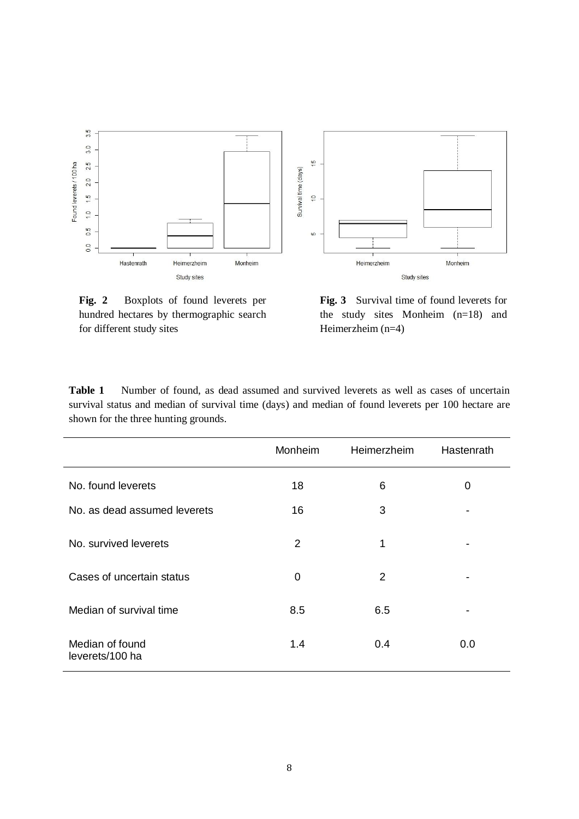

**Fig. 2** Boxplots of found leverets per hundred hectares by thermographic search for different study sites

**Fig. 3** Survival time of found leverets for the study sites Monheim (n=18) and Heimerzheim (n=4)

**Table 1** Number of found, as dead assumed and survived leverets as well as cases of uncertain survival status and median of survival time (days) and median of found leverets per 100 hectare are shown for the three hunting grounds.

|                                    | Monheim        | Heimerzheim | Hastenrath |
|------------------------------------|----------------|-------------|------------|
| No. found leverets                 | 18             | 6           | 0          |
| No. as dead assumed leverets       | 16             | 3           |            |
| No. survived leverets              | $\overline{2}$ | 1           |            |
| Cases of uncertain status          | 0              | 2           |            |
| Median of survival time            | 8.5            | 6.5         |            |
| Median of found<br>leverets/100 ha | 1.4            | 0.4         | 0.0        |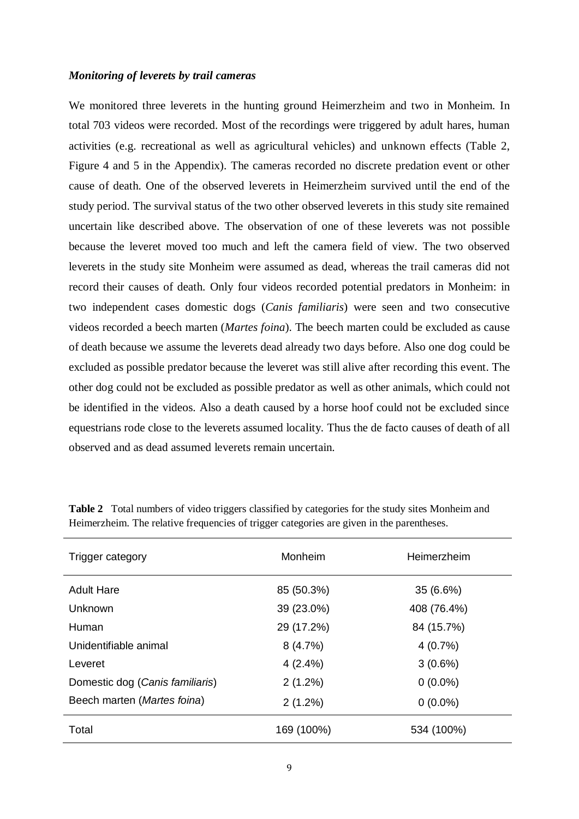#### *Monitoring of leverets by trail cameras*

We monitored three leverets in the hunting ground Heimerzheim and two in Monheim. In total 703 videos were recorded. Most of the recordings were triggered by adult hares, human activities (e.g. recreational as well as agricultural vehicles) and unknown effects (Table 2, Figure 4 and 5 in the Appendix). The cameras recorded no discrete predation event or other cause of death. One of the observed leverets in Heimerzheim survived until the end of the study period. The survival status of the two other observed leverets in this study site remained uncertain like described above. The observation of one of these leverets was not possible because the leveret moved too much and left the camera field of view. The two observed leverets in the study site Monheim were assumed as dead, whereas the trail cameras did not record their causes of death. Only four videos recorded potential predators in Monheim: in two independent cases domestic dogs (*Canis familiaris*) were seen and two consecutive videos recorded a beech marten (*Martes foina*). The beech marten could be excluded as cause of death because we assume the leverets dead already two days before. Also one dog could be excluded as possible predator because the leveret was still alive after recording this event. The other dog could not be excluded as possible predator as well as other animals, which could not be identified in the videos. Also a death caused by a horse hoof could not be excluded since equestrians rode close to the leverets assumed locality. Thus the de facto causes of death of all observed and as dead assumed leverets remain uncertain.

| Trigger category                | Monheim    | Heimerzheim |  |
|---------------------------------|------------|-------------|--|
| <b>Adult Hare</b>               | 85 (50.3%) | 35 (6.6%)   |  |
| Unknown                         | 39 (23.0%) | 408 (76.4%) |  |
| Human                           | 29 (17.2%) | 84 (15.7%)  |  |
| Unidentifiable animal           | 8(4.7%)    | 4(0.7%)     |  |
| Leveret                         | $4(2.4\%)$ | $3(0.6\%)$  |  |
| Domestic dog (Canis familiaris) | 2(1.2%)    | $0(0.0\%)$  |  |
| Beech marten (Martes foina)     | $2(1.2\%)$ | $0(0.0\%)$  |  |
| Total                           | 169 (100%) | 534 (100%)  |  |

**Table 2** Total numbers of video triggers classified by categories for the study sites Monheim and Heimerzheim. The relative frequencies of trigger categories are given in the parentheses.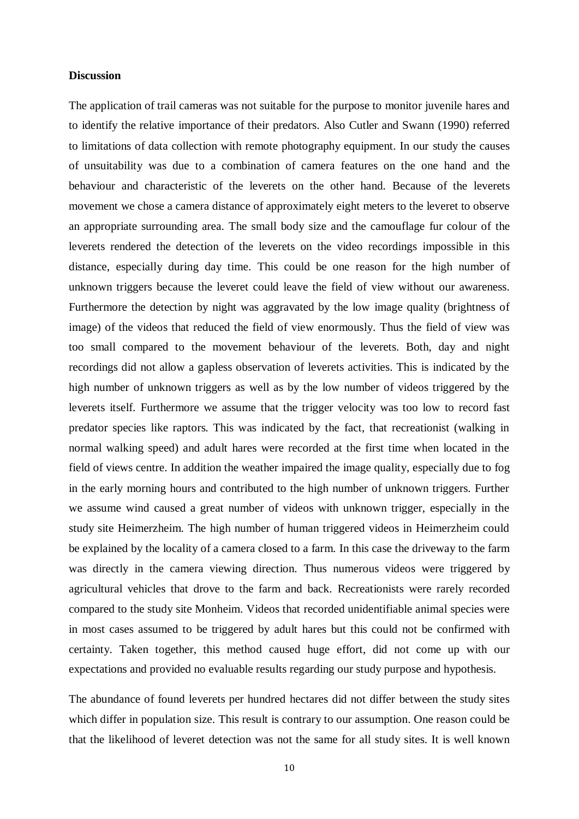#### **Discussion**

The application of trail cameras was not suitable for the purpose to monitor juvenile hares and to identify the relative importance of their predators. Also Cutler and Swann (1990) referred to limitations of data collection with remote photography equipment. In our study the causes of unsuitability was due to a combination of camera features on the one hand and the behaviour and characteristic of the leverets on the other hand. Because of the leverets movement we chose a camera distance of approximately eight meters to the leveret to observe an appropriate surrounding area. The small body size and the camouflage fur colour of the leverets rendered the detection of the leverets on the video recordings impossible in this distance, especially during day time. This could be one reason for the high number of unknown triggers because the leveret could leave the field of view without our awareness. Furthermore the detection by night was aggravated by the low image quality (brightness of image) of the videos that reduced the field of view enormously. Thus the field of view was too small compared to the movement behaviour of the leverets. Both, day and night recordings did not allow a gapless observation of leverets activities. This is indicated by the high number of unknown triggers as well as by the low number of videos triggered by the leverets itself. Furthermore we assume that the trigger velocity was too low to record fast predator species like raptors. This was indicated by the fact, that recreationist (walking in normal walking speed) and adult hares were recorded at the first time when located in the field of views centre. In addition the weather impaired the image quality, especially due to fog in the early morning hours and contributed to the high number of unknown triggers. Further we assume wind caused a great number of videos with unknown trigger, especially in the study site Heimerzheim. The high number of human triggered videos in Heimerzheim could be explained by the locality of a camera closed to a farm. In this case the driveway to the farm was directly in the camera viewing direction. Thus numerous videos were triggered by agricultural vehicles that drove to the farm and back. Recreationists were rarely recorded compared to the study site Monheim. Videos that recorded unidentifiable animal species were in most cases assumed to be triggered by adult hares but this could not be confirmed with certainty. Taken together, this method caused huge effort, did not come up with our expectations and provided no evaluable results regarding our study purpose and hypothesis.

The abundance of found leverets per hundred hectares did not differ between the study sites which differ in population size. This result is contrary to our assumption. One reason could be that the likelihood of leveret detection was not the same for all study sites. It is well known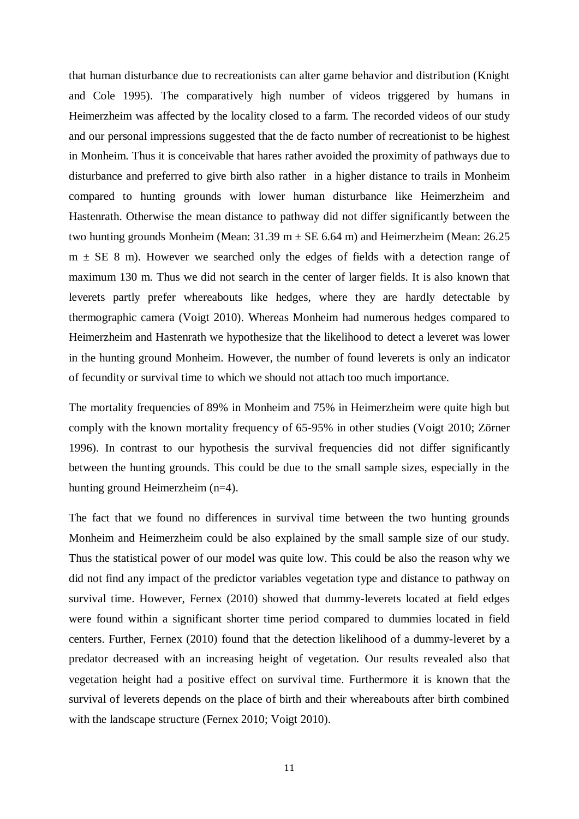that human disturbance due to recreationists can alter game behavior and distribution (Knight and Cole 1995). The comparatively high number of videos triggered by humans in Heimerzheim was affected by the locality closed to a farm. The recorded videos of our study and our personal impressions suggested that the de facto number of recreationist to be highest in Monheim. Thus it is conceivable that hares rather avoided the proximity of pathways due to disturbance and preferred to give birth also rather in a higher distance to trails in Monheim compared to hunting grounds with lower human disturbance like Heimerzheim and Hastenrath. Otherwise the mean distance to pathway did not differ significantly between the two hunting grounds Monheim (Mean:  $31.39 \text{ m} \pm \text{SE}$  6.64 m) and Heimerzheim (Mean: 26.25  $m \pm SE$  8 m). However we searched only the edges of fields with a detection range of maximum 130 m. Thus we did not search in the center of larger fields. It is also known that leverets partly prefer whereabouts like hedges, where they are hardly detectable by thermographic camera (Voigt 2010). Whereas Monheim had numerous hedges compared to Heimerzheim and Hastenrath we hypothesize that the likelihood to detect a leveret was lower in the hunting ground Monheim. However, the number of found leverets is only an indicator of fecundity or survival time to which we should not attach too much importance.

The mortality frequencies of 89% in Monheim and 75% in Heimerzheim were quite high but comply with the known mortality frequency of 65-95% in other studies (Voigt 2010; Zörner 1996). In contrast to our hypothesis the survival frequencies did not differ significantly between the hunting grounds. This could be due to the small sample sizes, especially in the hunting ground Heimerzheim (n=4).

The fact that we found no differences in survival time between the two hunting grounds Monheim and Heimerzheim could be also explained by the small sample size of our study. Thus the statistical power of our model was quite low. This could be also the reason why we did not find any impact of the predictor variables vegetation type and distance to pathway on survival time. However, Fernex (2010) showed that dummy-leverets located at field edges were found within a significant shorter time period compared to dummies located in field centers. Further, Fernex (2010) found that the detection likelihood of a dummy-leveret by a predator decreased with an increasing height of vegetation. Our results revealed also that vegetation height had a positive effect on survival time. Furthermore it is known that the survival of leverets depends on the place of birth and their whereabouts after birth combined with the landscape structure (Fernex 2010; Voigt 2010).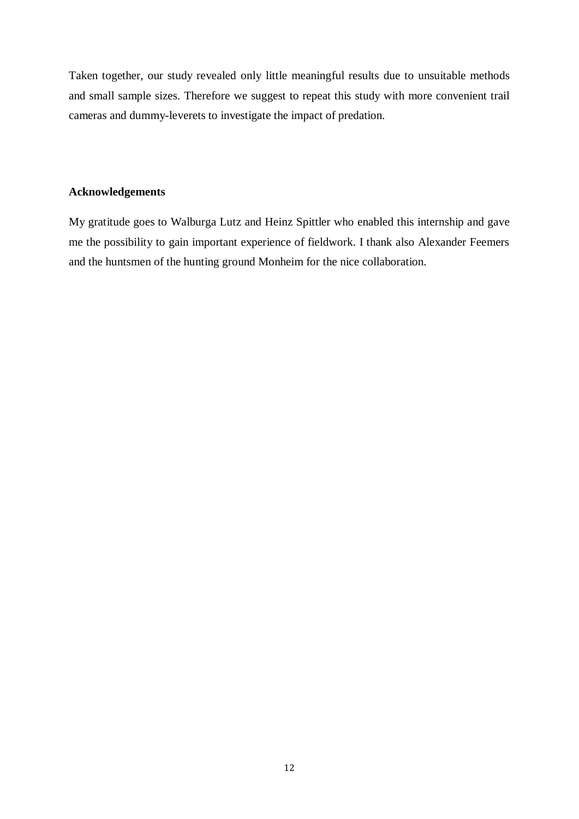Taken together, our study revealed only little meaningful results due to unsuitable methods and small sample sizes. Therefore we suggest to repeat this study with more convenient trail cameras and dummy-leverets to investigate the impact of predation.

# **Acknowledgements**

My gratitude goes to Walburga Lutz and Heinz Spittler who enabled this internship and gave me the possibility to gain important experience of fieldwork. I thank also Alexander Feemers and the huntsmen of the hunting ground Monheim for the nice collaboration.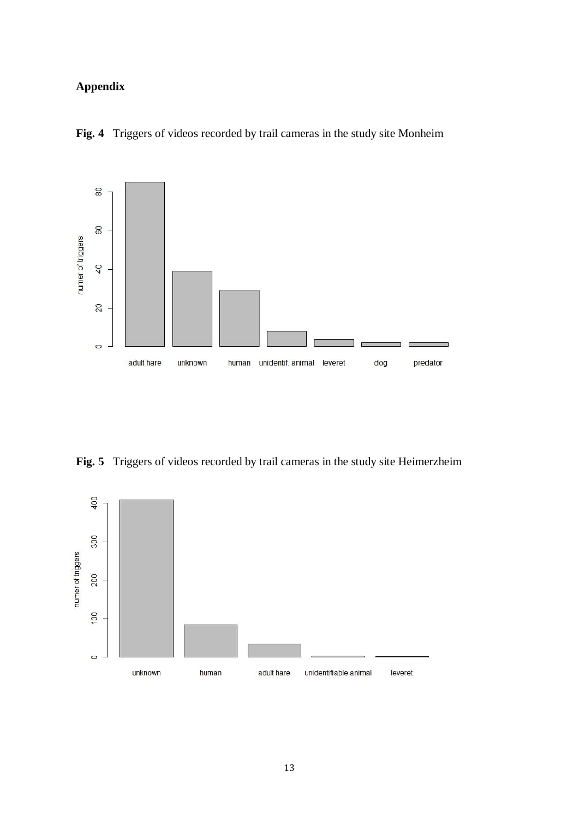# **Appendix**

**Fig. 4** Triggers of videos recorded by trail cameras in the study site Monheim



**Fig. 5** Triggers of videos recorded by trail cameras in the study site Heimerzheim

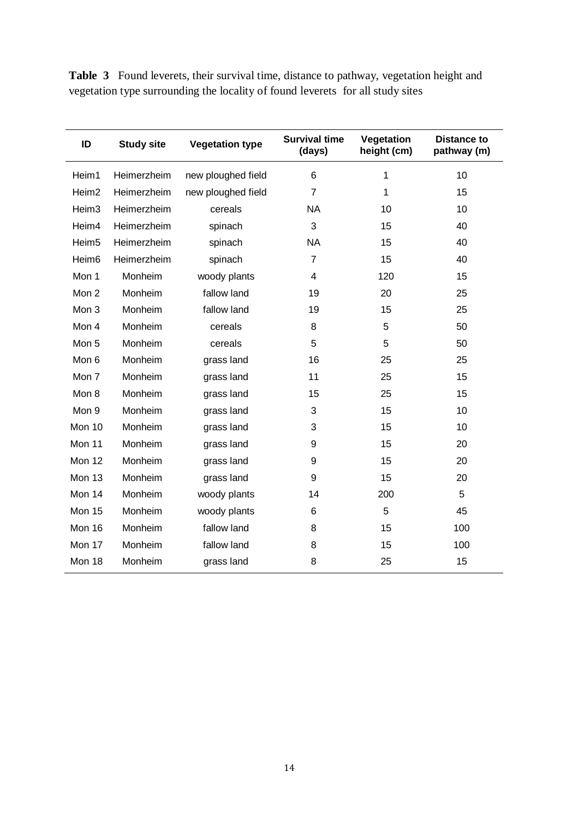**Table 3** Found leverets, their survival time, distance to pathway, vegetation height and vegetation type surrounding the locality of found leverets for all study sites

| ID                | <b>Study site</b> | <b>Vegetation type</b> | <b>Survival time</b><br>(days) | Vegetation<br>height (cm) | <b>Distance to</b><br>pathway (m) |
|-------------------|-------------------|------------------------|--------------------------------|---------------------------|-----------------------------------|
| Heim1             | Heimerzheim       | new ploughed field     | 6                              | 1                         | 10                                |
| Heim <sub>2</sub> | Heimerzheim       | new ploughed field     | 7                              | 1                         | 15                                |
| Heim <sub>3</sub> | Heimerzheim       | cereals                | <b>NA</b>                      | 10                        | 10                                |
| Heim4             | Heimerzheim       | spinach                | 3                              | 15                        | 40                                |
| Heim <sub>5</sub> | Heimerzheim       | spinach                | <b>NA</b>                      | 15                        | 40                                |
| Heim <sub>6</sub> | Heimerzheim       | spinach                | 7                              | 15                        | 40                                |
| Mon 1             | Monheim           | woody plants           | 4                              | 120                       | 15                                |
| Mon 2             | Monheim           | fallow land            | 19                             | 20                        | 25                                |
| Mon 3             | Monheim           | fallow land            | 19                             | 15                        | 25                                |
| Mon 4             | Monheim           | cereals                | 8                              | 5                         | 50                                |
| Mon 5             | Monheim           | cereals                | 5                              | 5                         | 50                                |
| Mon 6             | Monheim           | grass land             | 16                             | 25                        | 25                                |
| Mon 7             | Monheim           | grass land             | 11                             | 25                        | 15                                |
| Mon 8             | Monheim           | grass land             | 15                             | 25                        | 15                                |
| Mon 9             | Monheim           | grass land             | 3                              | 15                        | 10                                |
| Mon 10            | Monheim           | grass land             | 3                              | 15                        | 10                                |
| Mon 11            | Monheim           | grass land             | 9                              | 15                        | 20                                |
| Mon 12            | Monheim           | grass land             | 9                              | 15                        | 20                                |
| Mon 13            | Monheim           | grass land             | 9                              | 15                        | 20                                |
| Mon 14            | Monheim           | woody plants           | 14                             | 200                       | 5                                 |
| Mon 15            | Monheim           | woody plants           | 6                              | 5                         | 45                                |
| Mon 16            | Monheim           | fallow land            | 8                              | 15                        | 100                               |
| Mon 17            | Monheim           | fallow land            | 8                              | 15                        | 100                               |
| Mon 18            | Monheim           | grass land             | 8                              | 25                        | 15                                |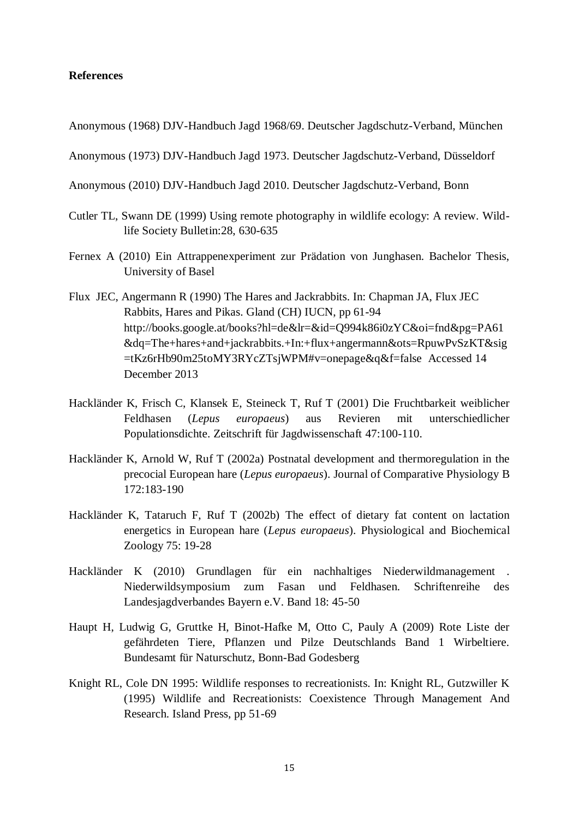# **References**

Anonymous (1968) DJV-Handbuch Jagd 1968/69. Deutscher Jagdschutz-Verband, München

Anonymous (1973) DJV-Handbuch Jagd 1973. Deutscher Jagdschutz-Verband, Düsseldorf

Anonymous (2010) DJV-Handbuch Jagd 2010. Deutscher Jagdschutz-Verband, Bonn

- Cutler TL, Swann DE (1999) Using remote photography in wildlife ecology: A review. Wildlife Society Bulletin:28, 630-635
- Fernex A (2010) Ein Attrappenexperiment zur Prädation von Junghasen. Bachelor Thesis, University of Basel
- Flux JEC, Angermann R (1990) The Hares and Jackrabbits. In: Chapman JA, Flux JEC Rabbits, Hares and Pikas. Gland (CH) IUCN, pp 61-94 [http://books.google.at/books?hl=de&lr=&id=Q994k86i0zYC&oi=fnd&pg=PA61](http://books.google.at/books?hl=de&lr=&id=Q994k86i0zYC&oi=fnd&pg=PA61&dq=The+hares+and+jackrabbits.+In:+flux+angermann&ots=RpuwPvSzKT&sig=tKz6rHb90m25toMY3RYcZTsjWPM#v=onepage&q&f=false) [&dq=The+hares+and+jackrabbits.+In:+flux+angermann&ots=RpuwPvSzKT&sig](http://books.google.at/books?hl=de&lr=&id=Q994k86i0zYC&oi=fnd&pg=PA61&dq=The+hares+and+jackrabbits.+In:+flux+angermann&ots=RpuwPvSzKT&sig=tKz6rHb90m25toMY3RYcZTsjWPM#v=onepage&q&f=false) [=tKz6rHb90m25toMY3RYcZTsjWPM#v=onepage&q&f=false](http://books.google.at/books?hl=de&lr=&id=Q994k86i0zYC&oi=fnd&pg=PA61&dq=The+hares+and+jackrabbits.+In:+flux+angermann&ots=RpuwPvSzKT&sig=tKz6rHb90m25toMY3RYcZTsjWPM#v=onepage&q&f=false) Accessed 14 December 2013
- Hackländer K, Frisch C, Klansek E, Steineck T, Ruf T (2001) Die Fruchtbarkeit weiblicher Feldhasen (*Lepus europaeus*) aus Revieren mit unterschiedlicher Populationsdichte. Zeitschrift für Jagdwissenschaft 47:100-110.
- Hackländer K, Arnold W, Ruf T (2002a) Postnatal development and thermoregulation in the precocial European hare (*Lepus europaeus*). Journal of Comparative Physiology B 172:183-190
- Hackländer K, Tataruch F, Ruf T (2002b) The effect of dietary fat content on lactation energetics in European hare (*Lepus europaeus*). Physiological and Biochemical Zoology 75: 19-28
- Hackländer K (2010) Grundlagen für ein nachhaltiges Niederwildmanagement . Niederwildsymposium zum Fasan und Feldhasen. Schriftenreihe des Landesjagdverbandes Bayern e.V. Band 18: 45-50
- Haupt H, Ludwig G, Gruttke H, Binot-Hafke M, Otto C, Pauly A (2009) Rote Liste der gefährdeten Tiere, Pflanzen und Pilze Deutschlands Band 1 Wirbeltiere. Bundesamt für Naturschutz, Bonn-Bad Godesberg
- Knight RL, Cole DN 1995: Wildlife responses to recreationists. In: Knight RL, Gutzwiller K (1995) Wildlife and Recreationists: Coexistence Through Management And Research. Island Press, pp 51-69